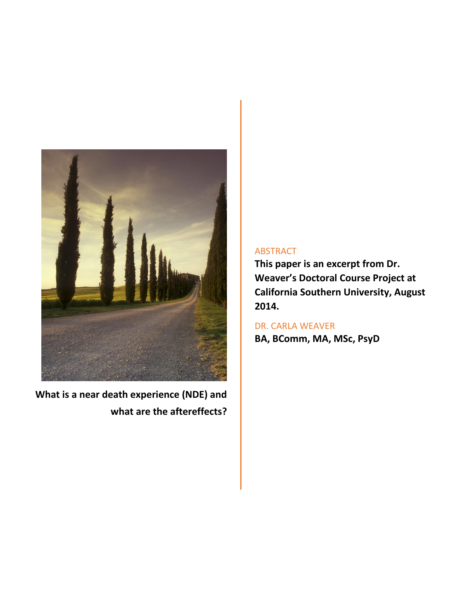

**What is a near death experience (NDE) and what are the aftereffects?**

## ABSTRACT

**This paper is an excerpt from Dr. Weaver's Doctoral Course Project at California Southern University, August 2014.**

DR. CARLA WEAVER **BA, BComm, MA, MSc, PsyD**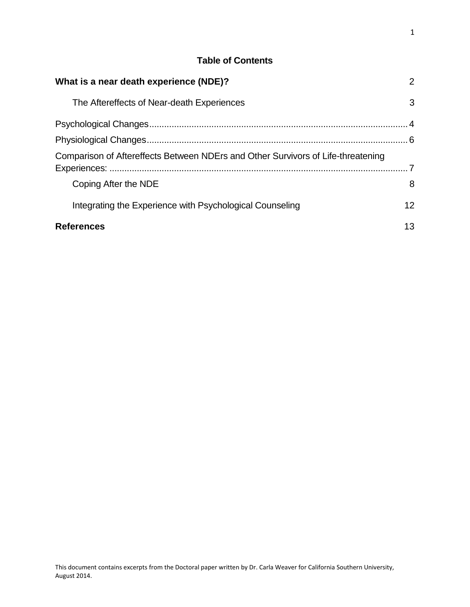## **Table of Contents**

| What is a near death experience (NDE)?                                           | 2  |
|----------------------------------------------------------------------------------|----|
| The Aftereffects of Near-death Experiences                                       | 3  |
|                                                                                  |    |
|                                                                                  |    |
| Comparison of Aftereffects Between NDErs and Other Survivors of Life-threatening |    |
| Coping After the NDE                                                             | 8  |
| Integrating the Experience with Psychological Counseling                         | 12 |
| <b>References</b>                                                                | 13 |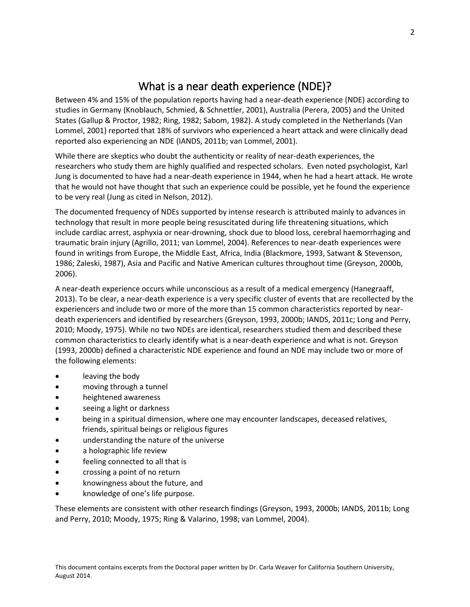# What is a near death experience (NDE)?

<span id="page-2-0"></span>Between 4% and 15% of the population reports having had a near-death experience (NDE) according to studies in Germany (Knoblauch, Schmied, & Schnettler, 2001), Australia (Perera, 2005) and the United States (Gallup & Proctor, 1982; Ring, 1982; Sabom, 1982). A study completed in the Netherlands (Van Lommel, 2001) reported that 18% of survivors who experienced a heart attack and were clinically dead reported also experiencing an NDE (IANDS, 2011b; van Lommel, 2001).

While there are skeptics who doubt the authenticity or reality of near-death experiences, the researchers who study them are highly qualified and respected scholars. Even noted psychologist, Karl Jung is documented to have had a near-death experience in 1944, when he had a heart attack. He wrote that he would not have thought that such an experience could be possible, yet he found the experience to be very real (Jung as cited in Nelson, 2012).

The documented frequency of NDEs supported by intense research is attributed mainly to advances in technology that result in more people being resuscitated during life threatening situations, which include cardiac arrest, asphyxia or near-drowning, shock due to blood loss, cerebral haemorrhaging and traumatic brain injury (Agrillo, 2011; van Lommel, 2004). References to near-death experiences were found in writings from Europe, the Middle East, Africa, India (Blackmore, 1993, Satwant & Stevenson, 1986; Zaleski, 1987), Asia and Pacific and Native American cultures throughout time (Greyson, 2000b, 2006).

A near-death experience occurs while unconscious as a result of a medical emergency (Hanegraaff, 2013). To be clear, a near-death experience is a very specific cluster of events that are recollected by the experiencers and include two or more of the more than 15 common characteristics reported by neardeath experiencers and identified by researchers (Greyson, 1993, 2000b; IANDS, 2011c; Long and Perry, 2010; Moody, 1975). While no two NDEs are identical, researchers studied them and described these common characteristics to clearly identify what is a near-death experience and what is not. Greyson (1993, 2000b) defined a characteristic NDE experience and found an NDE may include two or more of the following elements:

- leaving the body
- moving through a tunnel
- heightened awareness
- seeing a light or darkness
- being in a spiritual dimension, where one may encounter landscapes, deceased relatives, friends, spiritual beings or religious figures
- understanding the nature of the universe
- a holographic life review
- feeling connected to all that is
- crossing a point of no return
- knowingness about the future, and
- knowledge of one's life purpose.

These elements are consistent with other research findings (Greyson, 1993, 2000b; IANDS, 2011b; Long and Perry, 2010; Moody, 1975; Ring & Valarino, 1998; van Lommel, 2004).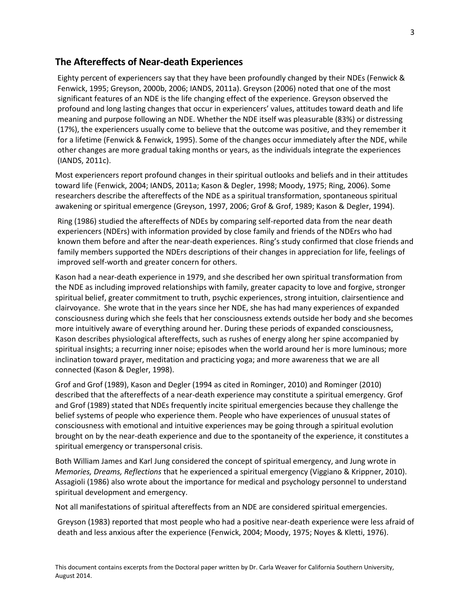### <span id="page-3-0"></span>**The Aftereffects of Near-death Experiences**

Eighty percent of experiencers say that they have been profoundly changed by their NDEs (Fenwick & Fenwick, 1995; Greyson, 2000b, 2006; IANDS, 2011a). Greyson (2006) noted that one of the most significant features of an NDE is the life changing effect of the experience. Greyson observed the profound and long lasting changes that occur in experiencers' values, attitudes toward death and life meaning and purpose following an NDE. Whether the NDE itself was pleasurable (83%) or distressing (17%), the experiencers usually come to believe that the outcome was positive, and they remember it for a lifetime (Fenwick & Fenwick, 1995). Some of the changes occur immediately after the NDE, while other changes are more gradual taking months or years, as the individuals integrate the experiences (IANDS, 2011c).

Most experiencers report profound changes in their spiritual outlooks and beliefs and in their attitudes toward life (Fenwick, 2004; IANDS, 2011a; Kason & Degler, 1998; Moody, 1975; Ring, 2006). Some researchers describe the aftereffects of the NDE as a spiritual transformation, spontaneous spiritual awakening or spiritual emergence (Greyson, 1997, 2006; Grof & Grof, 1989; Kason & Degler, 1994).

Ring (1986) studied the aftereffects of NDEs by comparing self-reported data from the near death experiencers (NDErs) with information provided by close family and friends of the NDErs who had known them before and after the near-death experiences. Ring's study confirmed that close friends and family members supported the NDErs descriptions of their changes in appreciation for life, feelings of improved self-worth and greater concern for others.

Kason had a near-death experience in 1979, and she described her own spiritual transformation from the NDE as including improved relationships with family, greater capacity to love and forgive, stronger spiritual belief, greater commitment to truth, psychic experiences, strong intuition, clairsentience and clairvoyance. She wrote that in the years since her NDE, she has had many experiences of expanded consciousness during which she feels that her consciousness extends outside her body and she becomes more intuitively aware of everything around her. During these periods of expanded consciousness, Kason describes physiological aftereffects, such as rushes of energy along her spine accompanied by spiritual insights; a recurring inner noise; episodes when the world around her is more luminous; more inclination toward prayer, meditation and practicing yoga; and more awareness that we are all connected (Kason & Degler, 1998).

Grof and Grof (1989), Kason and Degler (1994 as cited in Rominger, 2010) and Rominger (2010) described that the aftereffects of a near-death experience may constitute a spiritual emergency. Grof and Grof (1989) stated that NDEs frequently incite spiritual emergencies because they challenge the belief systems of people who experience them. People who have experiences of unusual states of consciousness with emotional and intuitive experiences may be going through a spiritual evolution brought on by the near-death experience and due to the spontaneity of the experience, it constitutes a spiritual emergency or transpersonal crisis.

Both William James and Karl Jung considered the concept of spiritual emergency, and Jung wrote in *Memories, Dreams, Reflections* that he experienced a spiritual emergency (Viggiano & Krippner, 2010). Assagioli (1986) also wrote about the importance for medical and psychology personnel to understand spiritual development and emergency.

Not all manifestations of spiritual aftereffects from an NDE are considered spiritual emergencies.

Greyson (1983) reported that most people who had a positive near-death experience were less afraid of death and less anxious after the experience (Fenwick, 2004; Moody, 1975; Noyes & Kletti, 1976).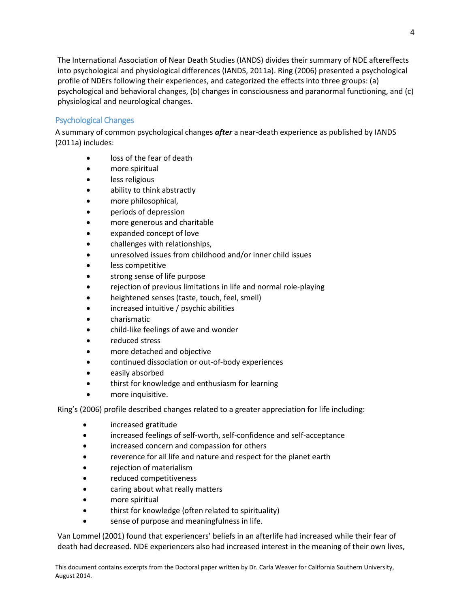The International Association of Near Death Studies (IANDS) divides their summary of NDE aftereffects into psychological and physiological differences (IANDS, 2011a). Ring (2006) presented a psychological profile of NDErs following their experiences, and categorized the effects into three groups: (a) psychological and behavioral changes, (b) changes in consciousness and paranormal functioning, and (c) physiological and neurological changes.

#### <span id="page-4-0"></span>Psychological Changes

A summary of common psychological changes *after* a near-death experience as published by IANDS (2011a) includes:

- loss of the fear of death
- more spiritual
- **•** less religious
- ability to think abstractly
- more philosophical,
- periods of depression
- more generous and charitable
- expanded concept of love
- challenges with relationships,
- unresolved issues from childhood and/or inner child issues
- less competitive
- strong sense of life purpose
- rejection of previous limitations in life and normal role-playing
- heightened senses (taste, touch, feel, smell)
- increased intuitive / psychic abilities
- charismatic
- child-like feelings of awe and wonder
- reduced stress
- more detached and objective
- continued dissociation or out-of-body experiences
- easily absorbed
- thirst for knowledge and enthusiasm for learning
- more inquisitive.

Ring's (2006) profile described changes related to a greater appreciation for life including:

- increased gratitude
- increased feelings of self-worth, self-confidence and self-acceptance
- increased concern and compassion for others
- reverence for all life and nature and respect for the planet earth
- rejection of materialism
- reduced competitiveness
- caring about what really matters
- more spiritual
- thirst for knowledge (often related to spirituality)
- sense of purpose and meaningfulness in life.

Van Lommel (2001) found that experiencers' beliefs in an afterlife had increased while their fear of death had decreased. NDE experiencers also had increased interest in the meaning of their own lives,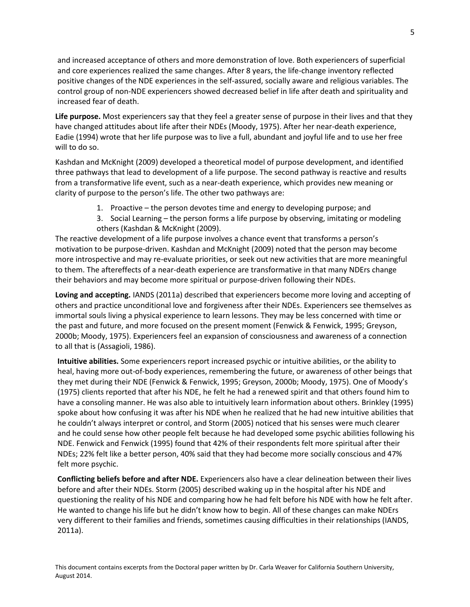and increased acceptance of others and more demonstration of love. Both experiencers of superficial and core experiences realized the same changes. After 8 years, the life-change inventory reflected positive changes of the NDE experiences in the self-assured, socially aware and religious variables. The control group of non-NDE experiencers showed decreased belief in life after death and spirituality and increased fear of death.

**Life purpose.** Most experiencers say that they feel a greater sense of purpose in their lives and that they have changed attitudes about life after their NDEs (Moody, 1975). After her near-death experience, Eadie (1994) wrote that her life purpose was to live a full, abundant and joyful life and to use her free will to do so.

Kashdan and McKnight (2009) developed a theoretical model of purpose development, and identified three pathways that lead to development of a life purpose. The second pathway is reactive and results from a transformative life event, such as a near-death experience, which provides new meaning or clarity of purpose to the person's life. The other two pathways are:

- 1. Proactive the person devotes time and energy to developing purpose; and
- 3. Social Learning the person forms a life purpose by observing, imitating or modeling others (Kashdan & McKnight (2009).

The reactive development of a life purpose involves a chance event that transforms a person's motivation to be purpose-driven. Kashdan and McKnight (2009) noted that the person may become more introspective and may re-evaluate priorities, or seek out new activities that are more meaningful to them. The aftereffects of a near-death experience are transformative in that many NDErs change their behaviors and may become more spiritual or purpose-driven following their NDEs.

**Loving and accepting.** IANDS (2011a) described that experiencers become more loving and accepting of others and practice unconditional love and forgiveness after their NDEs. Experiencers see themselves as immortal souls living a physical experience to learn lessons. They may be less concerned with time or the past and future, and more focused on the present moment (Fenwick & Fenwick, 1995; Greyson, 2000b; Moody, 1975). Experiencers feel an expansion of consciousness and awareness of a connection to all that is (Assagioli, 1986).

**Intuitive abilities.** Some experiencers report increased psychic or intuitive abilities, or the ability to heal, having more out-of-body experiences, remembering the future, or awareness of other beings that they met during their NDE (Fenwick & Fenwick, 1995; Greyson, 2000b; Moody, 1975). One of Moody's (1975) clients reported that after his NDE, he felt he had a renewed spirit and that others found him to have a consoling manner. He was also able to intuitively learn information about others. Brinkley (1995) spoke about how confusing it was after his NDE when he realized that he had new intuitive abilities that he couldn't always interpret or control, and Storm (2005) noticed that his senses were much clearer and he could sense how other people felt because he had developed some psychic abilities following his NDE. Fenwick and Fenwick (1995) found that 42% of their respondents felt more spiritual after their NDEs; 22% felt like a better person, 40% said that they had become more socially conscious and 47% felt more psychic.

**Conflicting beliefs before and after NDE.** Experiencers also have a clear delineation between their lives before and after their NDEs. Storm (2005) described waking up in the hospital after his NDE and questioning the reality of his NDE and comparing how he had felt before his NDE with how he felt after. He wanted to change his life but he didn't know how to begin. All of these changes can make NDErs very different to their families and friends, sometimes causing difficulties in their relationships (IANDS, 2011a).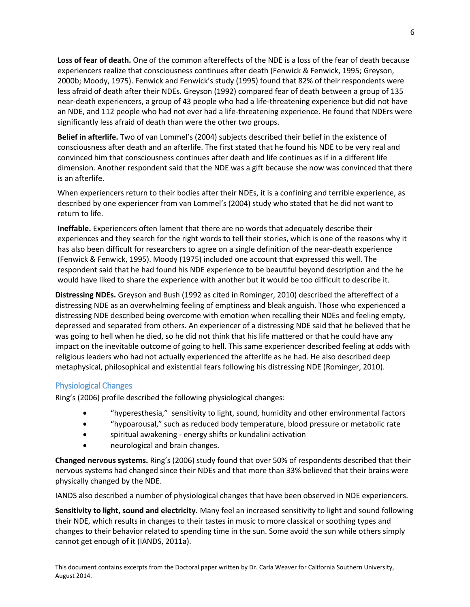**Loss of fear of death.** One of the common aftereffects of the NDE is a loss of the fear of death because experiencers realize that consciousness continues after death (Fenwick & Fenwick, 1995; Greyson, 2000b; Moody, 1975). Fenwick and Fenwick's study (1995) found that 82% of their respondents were less afraid of death after their NDEs. Greyson (1992) compared fear of death between a group of 135 near-death experiencers, a group of 43 people who had a life-threatening experience but did not have an NDE, and 112 people who had not ever had a life-threatening experience. He found that NDErs were significantly less afraid of death than were the other two groups.

**Belief in afterlife.** Two of van Lommel's (2004) subjects described their belief in the existence of consciousness after death and an afterlife. The first stated that he found his NDE to be very real and convinced him that consciousness continues after death and life continues as if in a different life dimension. Another respondent said that the NDE was a gift because she now was convinced that there is an afterlife.

When experiencers return to their bodies after their NDEs, it is a confining and terrible experience, as described by one experiencer from van Lommel's (2004) study who stated that he did not want to return to life.

**Ineffable.** Experiencers often lament that there are no words that adequately describe their experiences and they search for the right words to tell their stories, which is one of the reasons why it has also been difficult for researchers to agree on a single definition of the near-death experience (Fenwick & Fenwick, 1995). Moody (1975) included one account that expressed this well. The respondent said that he had found his NDE experience to be beautiful beyond description and the he would have liked to share the experience with another but it would be too difficult to describe it.

**Distressing NDEs.** Greyson and Bush (1992 as cited in Rominger, 2010) described the aftereffect of a distressing NDE as an overwhelming feeling of emptiness and bleak anguish. Those who experienced a distressing NDE described being overcome with emotion when recalling their NDEs and feeling empty, depressed and separated from others. An experiencer of a distressing NDE said that he believed that he was going to hell when he died, so he did not think that his life mattered or that he could have any impact on the inevitable outcome of going to hell. This same experiencer described feeling at odds with religious leaders who had not actually experienced the afterlife as he had. He also described deep metaphysical, philosophical and existential fears following his distressing NDE (Rominger, 2010).

#### <span id="page-6-0"></span>Physiological Changes

Ring's (2006) profile described the following physiological changes:

- "hyperesthesia," sensitivity to light, sound, humidity and other environmental factors
- "hypoarousal," such as reduced body temperature, blood pressure or metabolic rate
- spiritual awakening energy shifts or kundalini activation
- neurological and brain changes.

**Changed nervous systems.** Ring's (2006) study found that over 50% of respondents described that their nervous systems had changed since their NDEs and that more than 33% believed that their brains were physically changed by the NDE.

IANDS also described a number of physiological changes that have been observed in NDE experiencers.

**Sensitivity to light, sound and electricity.** Many feel an increased sensitivity to light and sound following their NDE, which results in changes to their tastes in music to more classical or soothing types and changes to their behavior related to spending time in the sun. Some avoid the sun while others simply cannot get enough of it (IANDS, 2011a).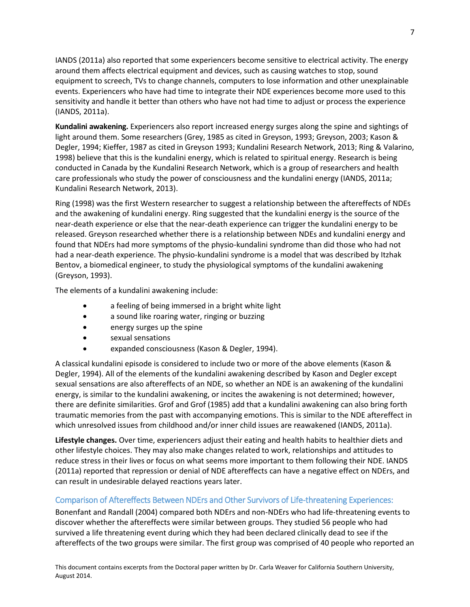IANDS (2011a) also reported that some experiencers become sensitive to electrical activity. The energy around them affects electrical equipment and devices, such as causing watches to stop, sound equipment to screech, TVs to change channels, computers to lose information and other unexplainable events. Experiencers who have had time to integrate their NDE experiences become more used to this sensitivity and handle it better than others who have not had time to adjust or process the experience (IANDS, 2011a).

**Kundalini awakening.** Experiencers also report increased energy surges along the spine and sightings of light around them. Some researchers (Grey, 1985 as cited in Greyson, 1993; Greyson, 2003; Kason & Degler, 1994; Kieffer, 1987 as cited in Greyson 1993; Kundalini Research Network, 2013; Ring & Valarino, 1998) believe that this is the kundalini energy, which is related to spiritual energy. Research is being conducted in Canada by the Kundalini Research Network, which is a group of researchers and health care professionals who study the power of consciousness and the kundalini energy (IANDS, 2011a; Kundalini Research Network, 2013).

Ring (1998) was the first Western researcher to suggest a relationship between the aftereffects of NDEs and the awakening of kundalini energy. Ring suggested that the kundalini energy is the source of the near-death experience or else that the near-death experience can trigger the kundalini energy to be released. Greyson researched whether there is a relationship between NDEs and kundalini energy and found that NDErs had more symptoms of the physio-kundalini syndrome than did those who had not had a near-death experience. The physio-kundalini syndrome is a model that was described by Itzhak Bentov, a biomedical engineer, to study the physiological symptoms of the kundalini awakening (Greyson, 1993).

The elements of a kundalini awakening include:

- a feeling of being immersed in a bright white light
- a sound like roaring water, ringing or buzzing
- energy surges up the spine
- sexual sensations
- expanded consciousness (Kason & Degler, 1994).

A classical kundalini episode is considered to include two or more of the above elements (Kason & Degler, 1994). All of the elements of the kundalini awakening described by Kason and Degler except sexual sensations are also aftereffects of an NDE, so whether an NDE is an awakening of the kundalini energy, is similar to the kundalini awakening, or incites the awakening is not determined; however, there are definite similarities. Grof and Grof (1985) add that a kundalini awakening can also bring forth traumatic memories from the past with accompanying emotions. This is similar to the NDE aftereffect in which unresolved issues from childhood and/or inner child issues are reawakened (IANDS, 2011a).

**Lifestyle changes.** Over time, experiencers adjust their eating and health habits to healthier diets and other lifestyle choices. They may also make changes related to work, relationships and attitudes to reduce stress in their lives or focus on what seems more important to them following their NDE. IANDS (2011a) reported that repression or denial of NDE aftereffects can have a negative effect on NDErs, and can result in undesirable delayed reactions years later.

#### <span id="page-7-0"></span>Comparison of Aftereffects Between NDErs and Other Survivors of Life-threatening Experiences:

Bonenfant and Randall (2004) compared both NDErs and non-NDErs who had life-threatening events to discover whether the aftereffects were similar between groups. They studied 56 people who had survived a life threatening event during which they had been declared clinically dead to see if the aftereffects of the two groups were similar. The first group was comprised of 40 people who reported an

This document contains excerpts from the Doctoral paper written by Dr. Carla Weaver for California Southern University, August 2014.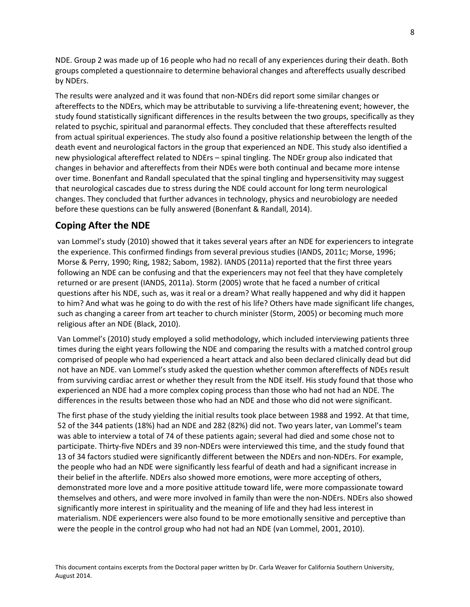NDE. Group 2 was made up of 16 people who had no recall of any experiences during their death. Both groups completed a questionnaire to determine behavioral changes and aftereffects usually described by NDErs.

The results were analyzed and it was found that non-NDErs did report some similar changes or aftereffects to the NDErs, which may be attributable to surviving a life-threatening event; however, the study found statistically significant differences in the results between the two groups, specifically as they related to psychic, spiritual and paranormal effects. They concluded that these aftereffects resulted from actual spiritual experiences. The study also found a positive relationship between the length of the death event and neurological factors in the group that experienced an NDE. This study also identified a new physiological aftereffect related to NDErs – spinal tingling. The NDEr group also indicated that changes in behavior and aftereffects from their NDEs were both continual and became more intense over time. Bonenfant and Randall speculated that the spinal tingling and hypersensitivity may suggest that neurological cascades due to stress during the NDE could account for long term neurological changes. They concluded that further advances in technology, physics and neurobiology are needed before these questions can be fully answered (Bonenfant & Randall, 2014).

#### <span id="page-8-0"></span>**Coping After the NDE**

van Lommel's study (2010) showed that it takes several years after an NDE for experiencers to integrate the experience. This confirmed findings from several previous studies (IANDS, 2011c; Morse, 1996; Morse & Perry, 1990; Ring, 1982; Sabom, 1982). IANDS (2011a) reported that the first three years following an NDE can be confusing and that the experiencers may not feel that they have completely returned or are present (IANDS, 2011a). Storm (2005) wrote that he faced a number of critical questions after his NDE, such as, was it real or a dream? What really happened and why did it happen to him? And what was he going to do with the rest of his life? Others have made significant life changes, such as changing a career from art teacher to church minister (Storm, 2005) or becoming much more religious after an NDE (Black, 2010).

Van Lommel's (2010) study employed a solid methodology, which included interviewing patients three times during the eight years following the NDE and comparing the results with a matched control group comprised of people who had experienced a heart attack and also been declared clinically dead but did not have an NDE. van Lommel's study asked the question whether common aftereffects of NDEs result from surviving cardiac arrest or whether they result from the NDE itself. His study found that those who experienced an NDE had a more complex coping process than those who had not had an NDE. The differences in the results between those who had an NDE and those who did not were significant.

The first phase of the study yielding the initial results took place between 1988 and 1992. At that time, 52 of the 344 patients (18%) had an NDE and 282 (82%) did not. Two years later, van Lommel's team was able to interview a total of 74 of these patients again; several had died and some chose not to participate. Thirty-five NDErs and 39 non-NDErs were interviewed this time, and the study found that 13 of 34 factors studied were significantly different between the NDErs and non-NDErs. For example, the people who had an NDE were significantly less fearful of death and had a significant increase in their belief in the afterlife. NDErs also showed more emotions, were more accepting of others, demonstrated more love and a more positive attitude toward life, were more compassionate toward themselves and others, and were more involved in family than were the non-NDErs. NDErs also showed significantly more interest in spirituality and the meaning of life and they had less interest in materialism. NDE experiencers were also found to be more emotionally sensitive and perceptive than were the people in the control group who had not had an NDE (van Lommel, 2001, 2010).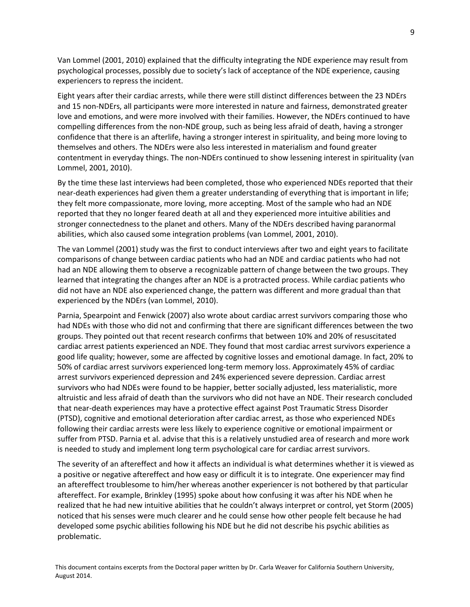Van Lommel (2001, 2010) explained that the difficulty integrating the NDE experience may result from psychological processes, possibly due to society's lack of acceptance of the NDE experience, causing experiencers to repress the incident.

Eight years after their cardiac arrests, while there were still distinct differences between the 23 NDErs and 15 non-NDErs, all participants were more interested in nature and fairness, demonstrated greater love and emotions, and were more involved with their families. However, the NDErs continued to have compelling differences from the non-NDE group, such as being less afraid of death, having a stronger confidence that there is an afterlife, having a stronger interest in spirituality, and being more loving to themselves and others. The NDErs were also less interested in materialism and found greater contentment in everyday things. The non-NDErs continued to show lessening interest in spirituality (van Lommel, 2001, 2010).

By the time these last interviews had been completed, those who experienced NDEs reported that their near-death experiences had given them a greater understanding of everything that is important in life; they felt more compassionate, more loving, more accepting. Most of the sample who had an NDE reported that they no longer feared death at all and they experienced more intuitive abilities and stronger connectedness to the planet and others. Many of the NDErs described having paranormal abilities, which also caused some integration problems (van Lommel, 2001, 2010).

The van Lommel (2001) study was the first to conduct interviews after two and eight years to facilitate comparisons of change between cardiac patients who had an NDE and cardiac patients who had not had an NDE allowing them to observe a recognizable pattern of change between the two groups. They learned that integrating the changes after an NDE is a protracted process. While cardiac patients who did not have an NDE also experienced change, the pattern was different and more gradual than that experienced by the NDErs (van Lommel, 2010).

Parnia, Spearpoint and Fenwick (2007) also wrote about cardiac arrest survivors comparing those who had NDEs with those who did not and confirming that there are significant differences between the two groups. They pointed out that recent research confirms that between 10% and 20% of resuscitated cardiac arrest patients experienced an NDE. They found that most cardiac arrest survivors experience a good life quality; however, some are affected by cognitive losses and emotional damage. In fact, 20% to 50% of cardiac arrest survivors experienced long-term memory loss. Approximately 45% of cardiac arrest survivors experienced depression and 24% experienced severe depression. Cardiac arrest survivors who had NDEs were found to be happier, better socially adjusted, less materialistic, more altruistic and less afraid of death than the survivors who did not have an NDE. Their research concluded that near-death experiences may have a protective effect against Post Traumatic Stress Disorder (PTSD), cognitive and emotional deterioration after cardiac arrest, as those who experienced NDEs following their cardiac arrests were less likely to experience cognitive or emotional impairment or suffer from PTSD. Parnia et al. advise that this is a relatively unstudied area of research and more work is needed to study and implement long term psychological care for cardiac arrest survivors.

The severity of an aftereffect and how it affects an individual is what determines whether it is viewed as a positive or negative aftereffect and how easy or difficult it is to integrate. One experiencer may find an aftereffect troublesome to him/her whereas another experiencer is not bothered by that particular aftereffect. For example, Brinkley (1995) spoke about how confusing it was after his NDE when he realized that he had new intuitive abilities that he couldn't always interpret or control, yet Storm (2005) noticed that his senses were much clearer and he could sense how other people felt because he had developed some psychic abilities following his NDE but he did not describe his psychic abilities as problematic.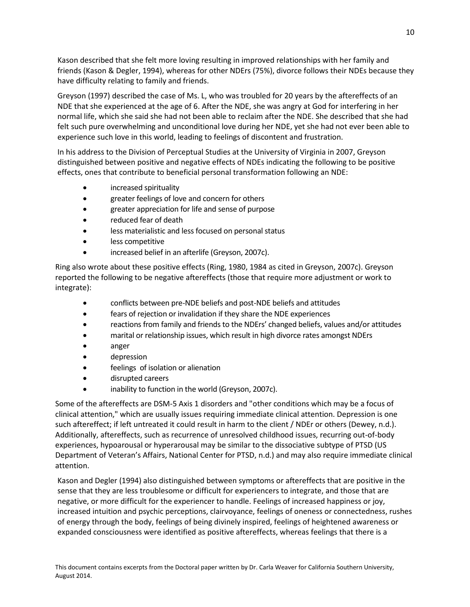Kason described that she felt more loving resulting in improved relationships with her family and friends (Kason & Degler, 1994), whereas for other NDErs (75%), divorce follows their NDEs because they have difficulty relating to family and friends.

Greyson (1997) described the case of Ms. L, who was troubled for 20 years by the aftereffects of an NDE that she experienced at the age of 6. After the NDE, she was angry at God for interfering in her normal life, which she said she had not been able to reclaim after the NDE. She described that she had felt such pure overwhelming and unconditional love during her NDE, yet she had not ever been able to experience such love in this world, leading to feelings of discontent and frustration.

In his address to the Division of Perceptual Studies at the University of Virginia in 2007, Greyson distinguished between positive and negative effects of NDEs indicating the following to be positive effects, ones that contribute to beneficial personal transformation following an NDE:

- increased spirituality
- greater feelings of love and concern for others
- greater appreciation for life and sense of purpose
- reduced fear of death
- less materialistic and less focused on personal status
- less competitive
- increased belief in an afterlife (Greyson, 2007c).

Ring also wrote about these positive effects (Ring, 1980, 1984 as cited in Greyson, 2007c). Greyson reported the following to be negative aftereffects (those that require more adjustment or work to integrate):

- conflicts between pre-NDE beliefs and post-NDE beliefs and attitudes
- fears of rejection or invalidation if they share the NDE experiences
- reactions from family and friends to the NDErs' changed beliefs, values and/or attitudes
- marital or relationship issues, which result in high divorce rates amongst NDErs
- anger
- depression
- feelings of isolation or alienation
- disrupted careers
- inability to function in the world (Greyson, 2007c).

Some of the aftereffects are DSM-5 Axis 1 disorders and "other conditions which may be a focus of clinical attention," which are usually issues requiring immediate clinical attention. Depression is one such aftereffect; if left untreated it could result in harm to the client / NDEr or others (Dewey, n.d.). Additionally, aftereffects, such as recurrence of unresolved childhood issues, recurring out-of-body experiences, hypoarousal or hyperarousal may be similar to the dissociative subtype of PTSD (US Department of Veteran's Affairs, National Center for PTSD, n.d.) and may also require immediate clinical attention.

Kason and Degler (1994) also distinguished between symptoms or aftereffects that are positive in the sense that they are less troublesome or difficult for experiencers to integrate, and those that are negative, or more difficult for the experiencer to handle. Feelings of increased happiness or joy, increased intuition and psychic perceptions, clairvoyance, feelings of oneness or connectedness, rushes of energy through the body, feelings of being divinely inspired, feelings of heightened awareness or expanded consciousness were identified as positive aftereffects, whereas feelings that there is a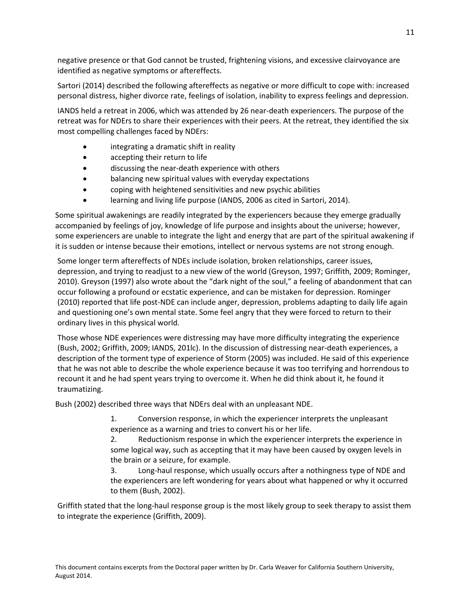negative presence or that God cannot be trusted, frightening visions, and excessive clairvoyance are identified as negative symptoms or aftereffects.

Sartori (2014) described the following aftereffects as negative or more difficult to cope with: increased personal distress, higher divorce rate, feelings of isolation, inability to express feelings and depression.

IANDS held a retreat in 2006, which was attended by 26 near-death experiencers. The purpose of the retreat was for NDErs to share their experiences with their peers. At the retreat, they identified the six most compelling challenges faced by NDErs:

- integrating a dramatic shift in reality
- accepting their return to life
- discussing the near-death experience with others
- balancing new spiritual values with everyday expectations
- coping with heightened sensitivities and new psychic abilities
- learning and living life purpose (IANDS, 2006 as cited in Sartori, 2014).

Some spiritual awakenings are readily integrated by the experiencers because they emerge gradually accompanied by feelings of joy, knowledge of life purpose and insights about the universe; however, some experiencers are unable to integrate the light and energy that are part of the spiritual awakening if it is sudden or intense because their emotions, intellect or nervous systems are not strong enough.

Some longer term aftereffects of NDEs include isolation, broken relationships, career issues, depression, and trying to readjust to a new view of the world (Greyson, 1997; Griffith, 2009; Rominger, 2010). Greyson (1997) also wrote about the "dark night of the soul," a feeling of abandonment that can occur following a profound or ecstatic experience, and can be mistaken for depression. Rominger (2010) reported that life post-NDE can include anger, depression, problems adapting to daily life again and questioning one's own mental state. Some feel angry that they were forced to return to their ordinary lives in this physical world.

Those whose NDE experiences were distressing may have more difficulty integrating the experience (Bush, 2002; Griffith, 2009; IANDS, 201lc). In the discussion of distressing near-death experiences, a description of the torment type of experience of Storm (2005) was included. He said of this experience that he was not able to describe the whole experience because it was too terrifying and horrendous to recount it and he had spent years trying to overcome it. When he did think about it, he found it traumatizing.

Bush (2002) described three ways that NDErs deal with an unpleasant NDE.

1. Conversion response, in which the experiencer interprets the unpleasant experience as a warning and tries to convert his or her life.

2. Reductionism response in which the experiencer interprets the experience in some logical way, such as accepting that it may have been caused by oxygen levels in the brain or a seizure, for example.

3. Long-haul response, which usually occurs after a nothingness type of NDE and the experiencers are left wondering for years about what happened or why it occurred to them (Bush, 2002).

Griffith stated that the long-haul response group is the most likely group to seek therapy to assist them to integrate the experience (Griffith, 2009).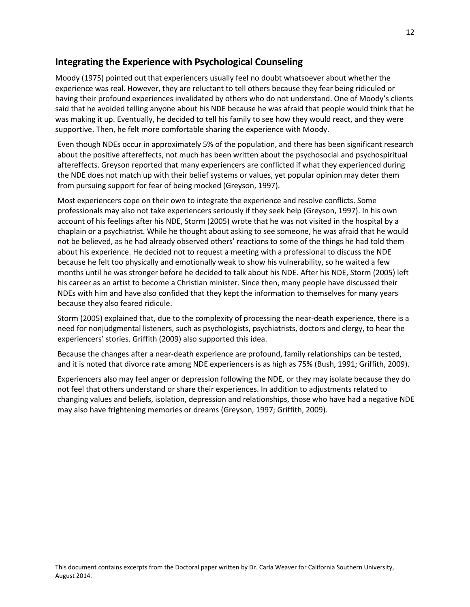## <span id="page-12-0"></span>**Integrating the Experience with Psychological Counseling**

Moody (1975) pointed out that experiencers usually feel no doubt whatsoever about whether the experience was real. However, they are reluctant to tell others because they fear being ridiculed or having their profound experiences invalidated by others who do not understand. One of Moody's clients said that he avoided telling anyone about his NDE because he was afraid that people would think that he was making it up. Eventually, he decided to tell his family to see how they would react, and they were supportive. Then, he felt more comfortable sharing the experience with Moody.

Even though NDEs occur in approximately 5% of the population, and there has been significant research about the positive aftereffects, not much has been written about the psychosocial and psychospiritual aftereffects. Greyson reported that many experiencers are conflicted if what they experienced during the NDE does not match up with their belief systems or values, yet popular opinion may deter them from pursuing support for fear of being mocked (Greyson, 1997).

Most experiencers cope on their own to integrate the experience and resolve conflicts. Some professionals may also not take experiencers seriously if they seek help (Greyson, 1997). In his own account of his feelings after his NDE, Storm (2005) wrote that he was not visited in the hospital by a chaplain or a psychiatrist. While he thought about asking to see someone, he was afraid that he would not be believed, as he had already observed others' reactions to some of the things he had told them about his experience. He decided not to request a meeting with a professional to discuss the NDE because he felt too physically and emotionally weak to show his vulnerability, so he waited a few months until he was stronger before he decided to talk about his NDE. After his NDE, Storm (2005) left his career as an artist to become a Christian minister. Since then, many people have discussed their NDEs with him and have also confided that they kept the information to themselves for many years because they also feared ridicule.

Storm (2005) explained that, due to the complexity of processing the near-death experience, there is a need for nonjudgmental listeners, such as psychologists, psychiatrists, doctors and clergy, to hear the experiencers' stories. Griffith (2009) also supported this idea.

Because the changes after a near-death experience are profound, family relationships can be tested, and it is noted that divorce rate among NDE experiencers is as high as 75% (Bush, 1991; Griffith, 2009).

Experiencers also may feel anger or depression following the NDE, or they may isolate because they do not feel that others understand or share their experiences. In addition to adjustments related to changing values and beliefs, isolation, depression and relationships, those who have had a negative NDE may also have frightening memories or dreams (Greyson, 1997; Griffith, 2009).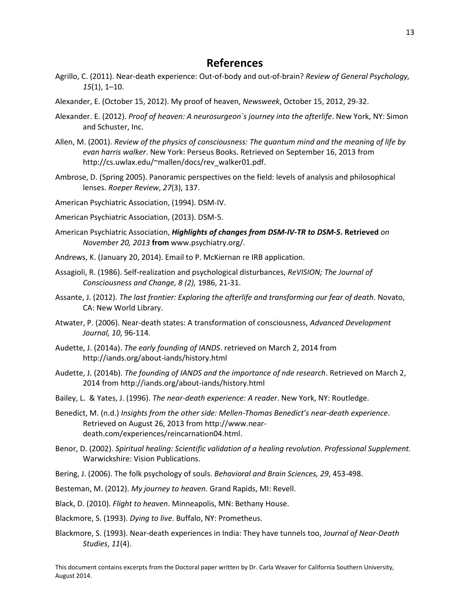## **References**

- <span id="page-13-0"></span>Agrillo, C. (2011). Near-death experience: Out-of-body and out-of-brain? *Review of General Psychology, 15*(1), 1–10.
- Alexander, E. (October 15, 2012). My proof of heaven, *Newsweek*, October 15, 2012, 29-32.
- Alexander. E. (2012). *Proof of heaven: A neurosurgeon`s journey into the afterlife*. New York, NY: Simon and Schuster, Inc.
- Allen, M. (2001). *Review of the physics of consciousness: The quantum mind and the meaning of life by evan harris walker*. New York: Perseus Books. Retrieved on September 16, 2013 from http://cs.uwlax.edu/~mallen/docs/rev\_walker01.pdf.
- Ambrose, D. (Spring 2005). Panoramic perspectives on the field: levels of analysis and philosophical lenses. *Roeper Review*, *27*(3), 137.
- American Psychiatric Association, (1994). DSM-IV.
- American Psychiatric Association, (2013). DSM-5.
- American Psychiatric Association, *Highlights of changes from DSM-IV-TR to DSM-5***. Retrieved** *on November 20, 2013* **from** www.psychiatry.org/*.*
- Andrews, K. (January 20, 2014). Email to P. McKiernan re IRB application.
- Assagioli, R. (1986). Self-realization and psychological disturbances, *ReVISION; The Journal of Consciousness and Change, 8 (2),* 1986, 21-31.
- Assante, J. (2012). *The last frontier: Exploring the afterlife and transforming our fear of death*. Novato, CA: New World Library.
- Atwater, P. (2006). Near-death states: A transformation of consciousness, *Advanced Development Journal, 10,* 96-114.
- Audette, J. (2014a). *The early founding of IANDS*. retrieved on March 2, 2014 from http://iands.org/about-iands/history.html
- Audette, J. (2014b). *The founding of IANDS and the importance of nde research*. Retrieved on March 2, 2014 from http://iands.org/about-iands/history.html
- Bailey, L. & Yates, J. (1996). *The near-death experience: A reader*. New York, NY: Routledge.
- Benedict, M. (n.d.) *Insights from the other side: Mellen-Thomas Benedict's near-death experience*. Retrieved on August 26, 2013 from http://www.neardeath.com/experiences/reincarnation04.html.
- Benor, D. (2002). *Spiritual healing: Scientific validation of a healing revolution. Professional Supplement.*  Warwickshire: Vision Publications.
- Bering, J. (2006). The folk psychology of souls. *Behavioral and Brain Sciences, 29*, 453-498.
- Besteman, M. (2012). *My journey to heaven*. Grand Rapids, MI: Revell.
- Black, D. (2010). *Flight to heaven*. Minneapolis, MN: Bethany House.
- Blackmore, S. (1993). *Dying to live*. Buffalo, NY: Prometheus.
- Blackmore, S. (1993). Near-death experiences in India: They have tunnels too, *Journal of Near-Death Studies*, *11*(4).

This document contains excerpts from the Doctoral paper written by Dr. Carla Weaver for California Southern University, August 2014.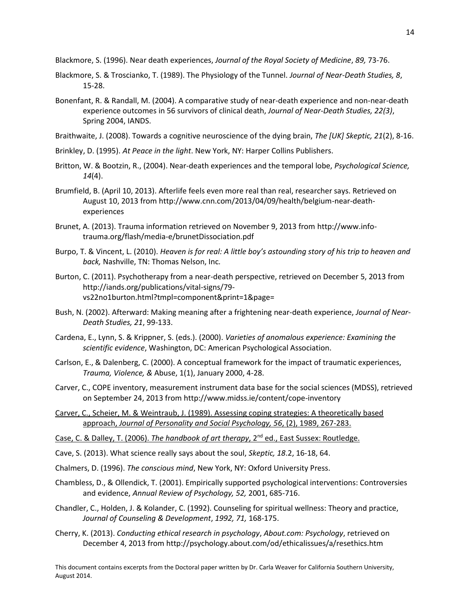Blackmore, S. (1996). Near death experiences, *Journal of the Royal Society of Medicine*, *89,* 73-76.

- Blackmore, S. & Troscianko, T. (1989). The Physiology of the Tunnel. *Journal of Near-Death Studies, 8*, 15-28.
- Bonenfant, R. & Randall, M. (2004). A comparative study of near-death experience and non-near-death experience outcomes in 56 survivors of clinical death, *Journal of Near-Death Studies, 22(3)*, Spring 2004, IANDS.
- Braithwaite, J. (2008). Towards a cognitive neuroscience of the dying brain, *The [UK] Skeptic, 21*(2), 8-16.
- Brinkley, D. (1995). *At Peace in the light*. New York, NY: Harper Collins Publishers.
- Britton, W. & Bootzin, R., (2004). Near-death experiences and the temporal lobe, *Psychological Science, 14*(4).
- Brumfield, B. (April 10, 2013). Afterlife feels even more real than real, researcher says. Retrieved on August 10, 2013 from http://www.cnn.com/2013/04/09/health/belgium-near-deathexperiences
- Brunet, A. (2013). Trauma information retrieved on November 9, 2013 from http://www.infotrauma.org/flash/media-e/brunetDissociation.pdf
- Burpo, T. & Vincent, L. (2010). *Heaven is for real: A little boy's astounding story of his trip to heaven and back,* Nashville, TN: Thomas Nelson, Inc*.*
- Burton, C. (2011). Psychotherapy from a near-death perspective, retrieved on December 5, 2013 from http://iands.org/publications/vital-signs/79 vs22no1burton.html?tmpl=component&print=1&page=
- Bush, N. (2002). Afterward: Making meaning after a frightening near-death experience, *Journal of Near-Death Studies, 21*, 99-133.
- Cardena, E., Lynn, S. & Krippner, S. (eds.). (2000). *Varieties of anomalous experience: Examining the scientific evidence*, Washington, DC: American Psychological Association.
- Carlson, E., & Dalenberg, C. (2000). A conceptual framework for the impact of traumatic experiences, *Trauma, Violence, &* Abuse, 1(1), January 2000, 4-28.
- Carver, C., COPE inventory, measurement instrument data base for the social sciences (MDSS), retrieved on September 24, 2013 from http://www.midss.ie/content/cope-inventory
- Carver, C., Scheier, M. & Weintraub, J. (1989). Assessing coping strategies: A theoretically based approach, *Journal of Personality and Social Psychology, 56*, (2), 1989, 267-283.
- Case, C. & Dalley, T. (2006). *The handbook of art therapy*, 2<sup>nd</sup> ed., East Sussex: Routledge.
- Cave, S. (2013). What science really says about the soul, *Skeptic, 18*.2, 16-18, 64.
- Chalmers, D. (1996). *The conscious mind*, New York, NY: Oxford University Press.
- Chambless, D., & Ollendick, T. (2001). Empirically supported psychological interventions: Controversies and evidence, *Annual Review of Psychology, 52,* 2001, 685-716.
- Chandler, C., Holden, J. & Kolander, C. (1992). Counseling for spiritual wellness: Theory and practice, *Journal of Counseling & Development*, *1992, 71,* 168-175.
- Cherry, K. (2013). *Conducting ethical research in psychology*, *About.com: Psychology*, retrieved on December 4, 2013 from http://psychology.about.com/od/ethicalissues/a/resethics.htm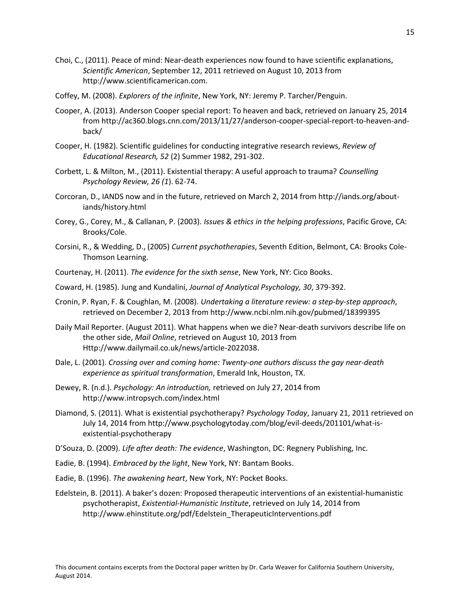- Choi, C., (2011). Peace of mind: Near-death experiences now found to have scientific explanations, *Scientific American*, September 12, 2011 retrieved on August 10, 2013 from http://www.scientificamerican.com.
- Coffey, M. (2008). *Explorers of the infinite*, New York, NY: Jeremy P. Tarcher/Penguin.
- Cooper, A. (2013). Anderson Cooper special report: To heaven and back, retrieved on January 25, 2014 from http://ac360.blogs.cnn.com/2013/11/27/anderson-cooper-special-report-to-heaven-andback/
- Cooper, H. (1982). Scientific guidelines for conducting integrative research reviews, *Review of Educational Research, 52* (2) Summer 1982, 291-302.
- Corbett, L. & Milton, M., (2011). Existential therapy: A useful approach to trauma? *Counselling Psychology Review, 26 (1*). 62-74.
- Corcoran, D., IANDS now and in the future, retrieved on March 2, 2014 from http://iands.org/aboutiands/history.html
- Corey, G., Corey, M., & Callanan, P. (2003). *Issues & ethics in the helping professions*, Pacific Grove, CA: Brooks/Cole.
- Corsini, R., & Wedding, D., (2005) *Current psychotherapies*, Seventh Edition, Belmont, CA: Brooks Cole-Thomson Learning.
- Courtenay, H. (2011). *The evidence for the sixth sense*, New York, NY: Cico Books.
- Coward, H. (1985). Jung and Kundalini, *Journal of Analytical Psychology, 30*, 379-392.
- Cronin, P. Ryan, F. & Coughlan, M. (2008). *Undertaking a literature review: a step-by-step approach*, retrieved on December 2, 2013 from http://www.ncbi.nlm.nih.gov/pubmed/18399395
- Daily Mail Reporter. (August 2011). What happens when we die? Near-death survivors describe life on the other side, *Mail Online*, retrieved on August 10, 2013 from Http://www.dailymail.co.uk/news/article-2022038.
- Dale, L. (2001). *Crossing over and coming home: Twenty-one authors discuss the gay near-death experience as spiritual transformation*, Emerald Ink, Houston, TX.
- Dewey, R. (n.d.). *Psychology: An introduction,* retrieved on July 27, 2014 from http://www.intropsych.com/index.html
- Diamond, S. (2011). What is existential psychotherapy? *Psychology Today*, January 21, 2011 retrieved on July 14, 2014 from http://www.psychologytoday.com/blog/evil-deeds/201101/what-isexistential-psychotherapy
- D'Souza, D. (2009). *Life after death: The evidence*, Washington, DC: Regnery Publishing, Inc.
- Eadie, B. (1994). *Embraced by the light*, New York, NY: Bantam Books.
- Eadie, B. (1996). *The awakening heart*, New York, NY: Pocket Books.
- Edelstein, B. (2011). A baker's dozen: Proposed therapeutic interventions of an existential-humanistic psychotherapist, *Existential-Humanistic Institute*, retrieved on July 14, 2014 from http://www.ehinstitute.org/pdf/Edelstein\_TherapeuticInterventions.pdf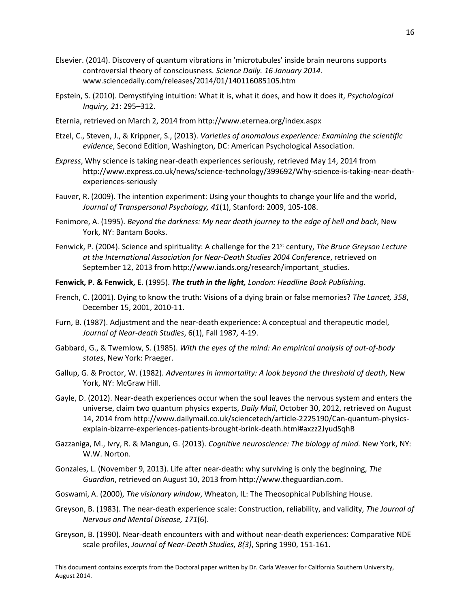- Elsevier. (2014). Discovery of quantum vibrations in 'microtubules' inside brain neurons supports controversial theory of consciousness*. Science Daily. 16 January 2014*. www.sciencedaily.com/releases/2014/01/140116085105.htm
- Epstein, S. (2010). Demystifying intuition: What it is, what it does, and how it does it, *Psychological Inquiry, 21*: 295–312.
- Eternia, retrieved on March 2, 2014 from http://www.eternea.org/index.aspx
- Etzel, C., Steven, J., & Krippner, S., (2013). *Varieties of anomalous experience: Examining the scientific evidence*, Second Edition, Washington, DC: American Psychological Association.
- *Express*, Why science is taking near-death experiences seriously, retrieved May 14, 2014 from http://www.express.co.uk/news/science-technology/399692/Why-science-is-taking-near-deathexperiences-seriously
- Fauver, R. (2009). The intention experiment: Using your thoughts to change your life and the world, *Journal of Transpersonal Psychology, 41*(1), Stanford[: 2009,](http://proquest.umi.com.libraryproxy.cardean.edu/pqdweb?RQT=572&VType=PQD&VName=PQD&VInst=PROD&pmid=70090&pcid=48748251&SrchMode=3) 105-108.
- Fenimore, A. (1995). *Beyond the darkness: My near death journey to the edge of hell and back*, New York, NY: Bantam Books.
- Fenwick, P. (2004). Science and spirituality: A challenge for the 21st century, *The Bruce Greyson Lecture at the International Association for Near-Death Studies 2004 Conference*, retrieved on September 12, 2013 from http://www.iands.org/research/important\_studies.
- **Fenwick, P. & Fenwick, E.** (1995). *[The truth in the light,](http://www.amazon.com/dp/0425156087/ref=nosim?tag=neardeathcom-20&linkCode=sb1&camp=212353&creative=380549) London: Headline Book Publishing.*
- French, C. (2001). Dying to know the truth: Visions of a dying brain or false memories? *The Lancet, 358*, December 15, 2001, 2010-11.
- Furn, B. (1987). Adjustment and the near-death experience: A conceptual and therapeutic model, *Journal of Near-death Studies*, 6(1), Fall 1987*,* 4-19.
- Gabbard, G., & Twemlow, S. (1985). *With the eyes of the mind: An empirical analysis of out-of-body states*, New York: Praeger.
- Gallup, G. & Proctor, W. (1982). *Adventures in immortality: A look beyond the threshold of death*, New York, NY: McGraw Hill.
- Gayle, D. (2012). Near-death experiences occur when the soul leaves the nervous system and enters the universe, claim two quantum physics experts, *Daily Mail*, October 30, 2012, retrieved on August 14, 2014 from http://www.dailymail.co.uk/sciencetech/article-2225190/Can-quantum-physicsexplain-bizarre-experiences-patients-brought-brink-death.html#axzz2JyudSqhB
- Gazzaniga, M., Ivry, R. & Mangun, G. (2013). *Cognitive neuroscience: The biology of mind.* New York, NY: W.W. Norton.
- Gonzales, L. (November 9, 2013). Life after near-death: why surviving is only the beginning, *The Guardian*, retrieved on August 10, 2013 from http://www.theguardian.com.
- Goswami, A. (2000), *The visionary window*, Wheaton, IL: The Theosophical Publishing House.
- Greyson, B. (1983). The near-death experience scale: Construction, reliability, and validity, *The Journal of Nervous and Mental Disease, 171*(6).
- Greyson, B. (1990). Near-death encounters with and without near-death experiences: Comparative NDE scale profiles, *Journal of Near-Death Studies, 8(3)*, Spring 1990, 151-161.

This document contains excerpts from the Doctoral paper written by Dr. Carla Weaver for California Southern University, August 2014.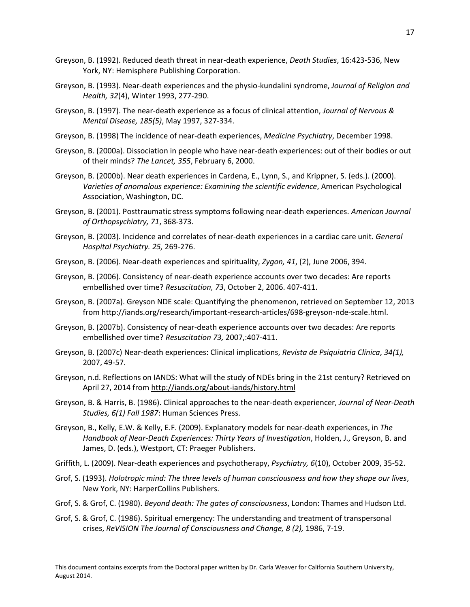- Greyson, B. (1992). Reduced death threat in near-death experience, *Death Studies*, 16:423-536, New York, NY: Hemisphere Publishing Corporation.
- Greyson, B. (1993). Near-death experiences and the physio-kundalini syndrome, *Journal of Religion and Health, 32*(4), Winter 1993, 277-290.
- Greyson, B. (1997). The near-death experience as a focus of clinical attention, *Journal of Nervous & Mental Disease, 185(5)*, May 1997, 327-334.
- Greyson, B. (1998) The incidence of near-death experiences, *Medicine Psychiatry*, December 1998.
- Greyson, B. (2000a). Dissociation in people who have near-death experiences: out of their bodies or out of their minds? *The Lancet, 355*, February 6, 2000.
- Greyson, B. (2000b). Near death experiences in Cardena, E., Lynn, S., and Krippner, S. (eds.). (2000). *Varieties of anomalous experience: Examining the scientific evidence*, American Psychological Association, Washington, DC.
- Greyson, B. (2001). Posttraumatic stress symptoms following near-death experiences. *American Journal of Orthopsychiatry, 71*, 368-373.
- Greyson, B. (2003). Incidence and correlates of near-death experiences in a cardiac care unit. *General Hospital Psychiatry. 25,* 269-276.
- Greyson, B. (2006). Near-death experiences and spirituality, *Zygon, 41*, (2), June 2006, 394.
- Greyson, B. (2006). Consistency of near-death experience accounts over two decades: Are reports embellished over time? *Resuscitation, 73*, October 2, 2006. 407-411.
- Greyson, B. (2007a). Greyson NDE scale: Quantifying the phenomenon, retrieved on September 12, 2013 from http://iands.org/research/important-research-articles/698-greyson-nde-scale.html.
- Greyson, B. (2007b). Consistency of near-death experience accounts over two decades: Are reports embellished over time? *Resuscitation 73,* 2007,:407-411.
- Greyson, B. (2007c) Near-death experiences: Clinical implications, *[Revista de Psiquiatria](http://www.ipqhc.org.br/pag_detalhe.php?categ=Imprensa&id=113) Clínica*, *34(1),* [2007, 49-57.](http://www.ipqhc.org.br/pag_detalhe.php?categ=Imprensa&id=113)
- Greyson, n.d. Reflections on IANDS: What will the study of NDEs bring in the 21st century? Retrieved on April 27, 2014 from<http://iands.org/about-iands/history.html>
- Greyson, B. & Harris, B. (1986). Clinical approaches to the near-death experiencer, *Journal of Near-Death Studies, 6(1) Fall 1987*: Human Sciences Press.
- Greyson, B., Kelly, E.W. & Kelly, E.F. (2009). Explanatory models for near-death experiences, in *The Handbook of Near-Death Experiences: Thirty Years of Investigation*, Holden, J., Greyson, B. and James, D. (eds.), Westport, CT: Praeger Publishers.
- Griffith, L. (2009). Near-death experiences and psychotherapy, *Psychiatry, 6*(10), October 2009, 35-52.
- Grof, S. (1993). *Holotropic mind: The three levels of human consciousness and how they shape our lives*, New York, NY: HarperCollins Publishers.
- Grof, S. & Grof, C. (1980). *Beyond death: The gates of consciousness*, London: Thames and Hudson Ltd.
- Grof, S. & Grof, C. (1986). Spiritual emergency: The understanding and treatment of transpersonal crises, *ReVISION The Journal of Consciousness and Change, 8 (2),* 1986, 7-19.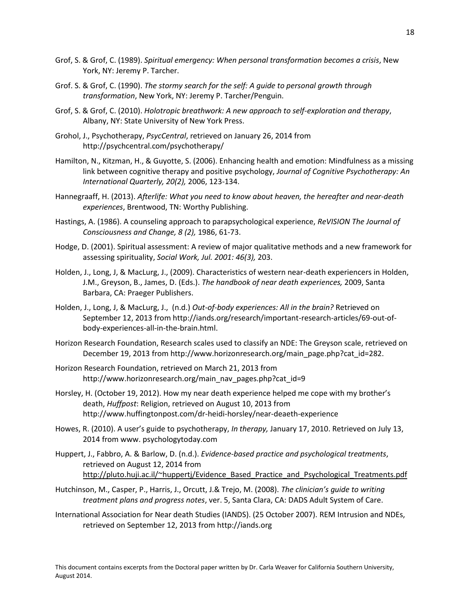18

- Grof, S. & Grof, C. (1989). *Spiritual emergency: When personal transformation becomes a crisis*, New York, NY: Jeremy P. Tarcher.
- Grof. S. & Grof, C. (1990). *The stormy search for the self: A guide to personal growth through transformation*, New York, NY: Jeremy P. Tarcher/Penguin.
- Grof, S. & Grof, C. (2010). *Holotropic breathwork: A new approach to self-exploration and therapy*, Albany, NY: State University of New York Press.
- Grohol, J., Psychotherapy, *PsycCentral*, retrieved on January 26, 2014 from http://psychcentral.com/psychotherapy/
- Hamilton, N., Kitzman, H., & Guyotte, S. (2006). Enhancing health and emotion: Mindfulness as a missing link between cognitive therapy and positive psychology, *Journal of Cognitive Psychotherapy: An International Quarterly, 20(2),* 2006, 123-134.
- Hannegraaff, H. (2013). *Afterlife: What you need to know about heaven, the hereafter and near-death experiences*, Brentwood, TN: Worthy Publishing.
- Hastings, A. (1986). A counseling approach to parapsychological experience, *ReVISION The Journal of Consciousness and Change, 8 (2),* 1986, 61-73.
- Hodge, D. (2001). Spiritual assessment: A review of major qualitative methods and a new framework for assessing spirituality, *Social Work, Jul. 2001: 46(3),* 203.
- Holden, J., Long, J, & MacLurg, J., (2009). Characteristics of western near-death experiencers in Holden, J.M., Greyson, B., James, D. (Eds.). *The handbook of near death experiences,* 2009, Santa Barbara, CA: Praeger Publishers.
- Holden, J., Long, J, & MacLurg, J., (n.d.) *Out-of-body experiences: All in the brain?* Retrieved on September 12, 2013 from http://iands.org/research/important-research-articles/69-out-ofbody-experiences-all-in-the-brain.html.
- Horizon Research Foundation, Research scales used to classify an NDE: The Greyson scale, retrieved on December 19, 2013 from http://www.horizonresearch.org/main\_page.php?cat\_id=282.
- Horizon Research Foundation, retrieved on March 21, 2013 from http://www.horizonresearch.org/main\_nav\_pages.php?cat\_id=9
- Horsley, H. (October 19, 2012). How my near death experience helped me cope with my brother's death, *Huffpost*: Religion, retrieved on August 10, 2013 from http://www.huffingtonpost.com/dr-heidi-horsley/near-deaeth-experience
- Howes, R. (2010). A user's guide to psychotherapy, *In therapy,* January 17, 2010. Retrieved on July 13, 2014 from www. psychologytoday.com
- Huppert, J., Fabbro, A. & Barlow, D. (n.d.). *Evidence-based practice and psychological treatments*, retrieved on August 12, 2014 from http://pluto.huji.ac.il/~huppertj/Evidence Based Practice and Psychological Treatments.pdf
- Hutchinson, M., Casper, P., Harris, J., Orcutt, J.& Trejo, M. (2008). *The clinician's guide to writing treatment plans and progress notes*, ver. 5, Santa Clara, CA: DADS Adult System of Care.
- International Association for Near death Studies (IANDS). (25 October 2007). REM Intrusion and NDEs, retrieved on September 12, 2013 from http://iands.org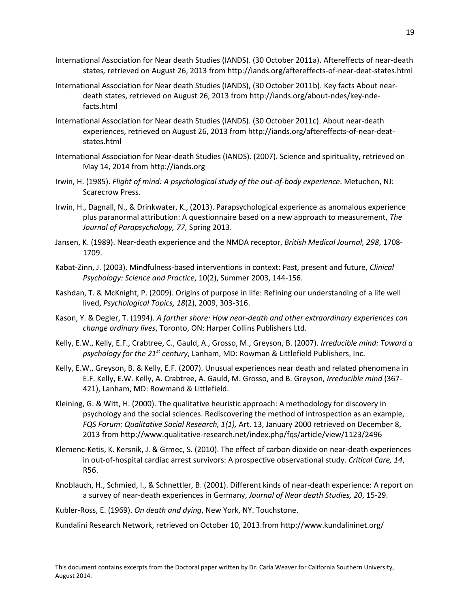- International Association for Near death Studies (IANDS). (30 October 2011a). Aftereffects of near-death states*,* retrieved on August 26, 2013 from http://iands.org/aftereffects-of-near-deat-states.html
- International Association for Near death Studies (IANDS), (30 October 2011b). Key facts About neardeath states, retrieved on August 26, 2013 from http://iands.org/about-ndes/key-ndefacts.html
- International Association for Near death Studies (IANDS). (30 October 2011c). About near-death experiences, retrieved on August 26, 2013 from http://iands.org/aftereffects-of-near-deatstates.html
- International Association for Near-death Studies (IANDS). (2007). Science and spirituality, retrieved on May 14, 2014 from http://iands.org
- Irwin, H. (1985). *Flight of mind: A psychological study of the out-of-body experience*. Metuchen, NJ: Scarecrow Press.
- Irwin, H., Dagnall, N., & Drinkwater, K., (2013). Parapsychological experience as anomalous experience plus paranormal attribution: A questionnaire based on a new approach to measurement, *The Journal of Parapsychology, 77,* Spring 2013.
- Jansen, K. (1989). Near-death experience and the NMDA receptor, *British Medical Journal, 298*, 1708- 1709.
- Kabat-Zinn, J. (2003). Mindfulness-based interventions in context: Past, present and future, *Clinical Psychology: Science and Practice*, 10(2), Summer 2003, 144-156.
- Kashdan, T. & McKnight, P. (2009). Origins of purpose in life: Refining our understanding of a life well lived, *Psychological Topics, 18*(2), 2009, 303-316.
- Kason, Y. & Degler, T. (1994). *A farther shore: How near-death and other extraordinary experiences can change ordinary lives*, Toronto, ON: Harper Collins Publishers Ltd.
- Kelly, E.W., Kelly, E.F., Crabtree, C., Gauld, A., Grosso, M., Greyson, B. (2007). *Irreducible mind: Toward a psychology for the 21st century*, Lanham, MD: Rowman & Littlefield Publishers, Inc.
- Kelly, E.W., Greyson, B. & Kelly, E.F. (2007). Unusual experiences near death and related phenomena in E.F. Kelly, E.W. Kelly, A. Crabtree, A. Gauld, M. Grosso, and B. Greyson, *Irreducible mind* (367- 421), Lanham, MD: Rowmand & Littlefield.
- Kleining, G. & Witt, H. (2000). The qualitative heuristic approach: A methodology for discovery in psychology and the social sciences. Rediscovering the method of introspection as an example, *FQS Forum: Qualitative Social Research, 1(1),* Art. 13, January 2000 retrieved on December 8, 2013 from http://www.qualitative-research.net/index.php/fqs/article/view/1123/2496
- Klemenc-Ketis, K. Kersnik, J. & Grmec, S. (2010). The effect of carbon dioxide on near-death experiences in out-of-hospital cardiac arrest survivors: A prospective observational study. *Critical Care, 14*, R56.
- Knoblauch, H., Schmied, I., & Schnettler, B. (2001). Different kinds of near-death experience: A report on a survey of near-death experiences in Germany, *Journal of Near death Studies, 20*, 15-29.
- Kubler-Ross, E. (1969). *On death and dying*, New York, NY. Touchstone.

Kundalini Research Network, retrieved on October 10, 2013.from http://www.kundalininet.org/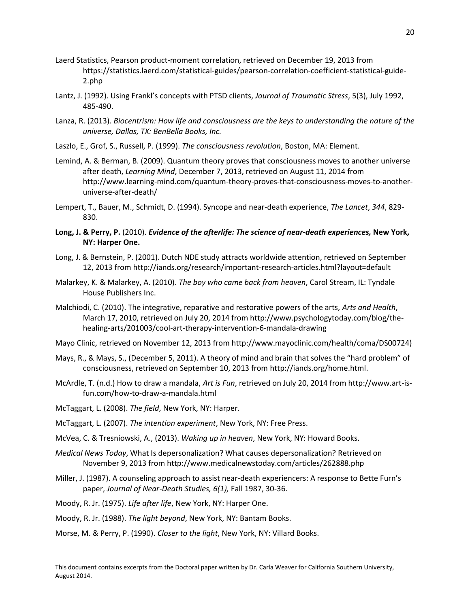- Laerd Statistics, Pearson product-moment correlation, retrieved on December 19, 2013 from https://statistics.laerd.com/statistical-guides/pearson-correlation-coefficient-statistical-guide-2.php
- Lantz, J. (1992). Using Frankl's concepts with PTSD clients, *Journal of Traumatic Stress*, 5(3), July 1992, 485-490.
- Lanza, R. (2013). *Biocentrism: How life and consciousness are the keys to understanding the nature of the universe, Dallas, TX: BenBella Books, Inc.*
- Laszlo, E., Grof, S., Russell, P. (1999). *The consciousness revolution*, Boston, MA: Element.
- Lemind, A. & Berman, B. (2009). Quantum theory proves that consciousness moves to another universe after death, *Learning Mind*, December 7, 2013, retrieved on August 11, 2014 from http://www.learning-mind.com/quantum-theory-proves-that-consciousness-moves-to-anotheruniverse-after-death/
- Lempert, T., Bauer, M., Schmidt, D. (1994). Syncope and near-death experience, *The Lancet*, *344*, 829- 830.
- Long, J. & Perry, P. (2010). *[Evidence of the afterlife: The science of near-death experiences,](http://astore.amazon.com/neardeathcom-20/detail/0061452572)* New York, **NY: Harper One.**
- Long, J. & Bernstein, P. (2001). Dutch NDE study attracts worldwide attention, retrieved on September 12, 2013 from http://iands.org/research/important-research-articles.html?layout=default
- Malarkey, K. & Malarkey, A. (2010). *The boy who came back from heaven*, Carol Stream, IL: Tyndale House Publishers Inc.
- Malchiodi, C. (2010). The integrative, reparative and restorative powers of the arts, *Arts and Health*, March 17, 2010, retrieved on July 20, 2014 from http://www.psychologytoday.com/blog/thehealing-arts/201003/cool-art-therapy-intervention-6-mandala-drawing
- Mayo Clinic, retrieved on November 12, 2013 from http://www.mayoclinic.com/health/coma/DS00724)
- Mays, R., & Mays, S., (December 5, 2011). A theory of mind and brain that solves the "hard problem" of consciousness, retrieved on September 10, 2013 fro[m http://iands.org/home.html.](http://iands.org/home.html)
- McArdle, T. (n.d.) How to draw a mandala, *Art is Fun*, retrieved on July 20, 2014 from http://www.art-isfun.com/how-to-draw-a-mandala.html
- McTaggart, L. (2008). *The field*, New York, NY: Harper.
- McTaggart, L. (2007). *The intention experiment*, New York, NY: Free Press.
- McVea, C. & Tresniowski, A., (2013). *Waking up in heaven*, New York, NY: Howard Books.
- *Medical News Today*, What Is depersonalization? What causes depersonalization? Retrieved on November 9, 2013 from http://www.medicalnewstoday.com/articles/262888.php
- Miller, J. (1987). A counseling approach to assist near-death experiencers: A response to Bette Furn's paper, *Journal of Near-Death Studies, 6(1),* Fall 1987, 30-36.
- Moody, R. Jr. (1975). *Life after life*, New York, NY: Harper One.
- Moody, R. Jr. (1988). *The light beyond*, New York, NY: Bantam Books.
- Morse, M. & Perry, P. (1990). *Closer to the light*, New York, NY: Villard Books.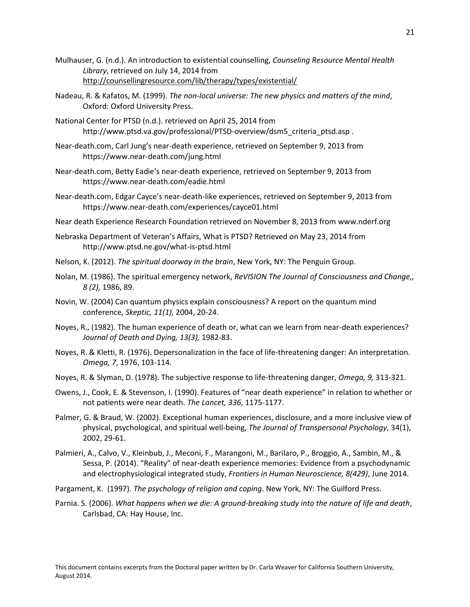- Mulhauser, G. (n.d.). An introduction to existential counselling, *Counseling Resource Mental Health Library*, retrieved on July 14, 2014 from <http://counsellingresource.com/lib/therapy/types/existential/>
- Nadeau, R. & Kafatos, M. (1999). *The non-local universe: The new physics and matters of the mind*, Oxford: Oxford University Press.
- National Center for PTSD (n.d.). retrieved on April 25, 2014 from http://www.ptsd.va.gov/professional/PTSD-overview/dsm5\_criteria\_ptsd.asp .
- Near-death.com, Carl Jung's near-death experience, retrieved on September 9, 2013 from https://www.near-death.com/jung.html
- Near-death.com, Betty Eadie's near-death experience, retrieved on September 9, 2013 from https://www.near-death.com/eadie.html
- Near-death.com, Edgar Cayce's near-death-like experiences, retrieved on September 9, 2013 from https://www.near-death.com/experiences/cayce01.html

Near death Experience Research Foundation retrieved on November 8, 2013 from www.nderf.org

- Nebraska Department of Veteran's Affairs, What is PTSD? Retrieved on May 23, 2014 from http://www.ptsd.ne.gov/what-is-ptsd.html
- Nelson, K. (2012). *The spiritual doorway in the brain*, New York, NY: The Penguin Group.
- Nolan, M. (1986). The spiritual emergency network, *ReVISION The Journal of Consciousness and Change,, 8 (2),* 1986, 89.
- Novin, W. (2004) Can quantum physics explain consciousness? A report on the quantum mind conference, *Skeptic, 11(1),* 2004, 20-24.
- Noyes, R., (1982). The human experience of death or, what can we learn from near-death experiences? *Journal of Death and Dying, 13(3),* 1982-83.
- Noyes, R. & Kletti, R. (1976). Depersonalization in the face of life-threatening danger: An interpretation. *Omega, 7*, 1976, 103-114.
- Noyes, R. & Slyman, D. (1978). The subjective response to life-threatening danger, *Omega, 9,* 313-321.
- Owens, J., Cook, E. & Stevenson, I. (1990). Features of "near death experience" in relation to whether or not patients were near death. *The Lancet, 336*, 1175-1177.
- Palmer, G. & Braud, W. (2002). Exceptional human experiences, disclosure, and a more inclusive view of physical, psychological, and spiritual well-being, *The Journal of Transpersonal Psychology*, 34(1), 2002, 29-61.
- Palmieri, A., Calvo, V., Kleinbub, J., Meconi, F., Marangoni, M., Barilaro, P., Broggio, A., Sambin, M., & Sessa, P. (2014). "Reality" of near-death experience memories: Evidence from a psychodynamic and electrophysiological integrated study, *Frontiers in Human Neuroscience, 8(429)*, June 2014.
- Pargament, K. (1997). *The psychology of religion and coping*. New York, NY: The Guilford Press.
- Parnia. S. (2006). *What happens when we die: A ground-breaking study into the nature of life and death*, Carlsbad, CA: Hay House, Inc.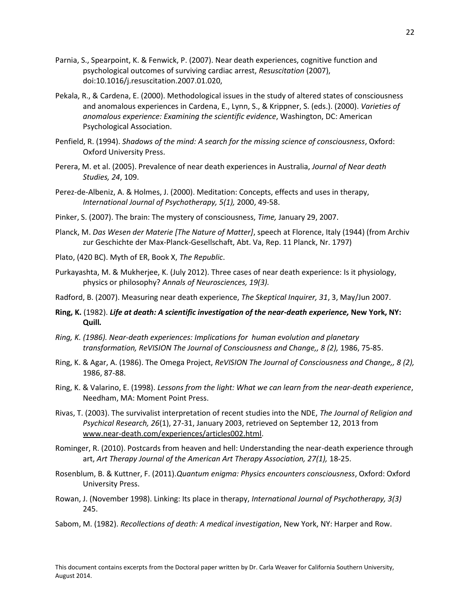- Parnia, S., Spearpoint, K. & Fenwick, P. (2007). Near death experiences, cognitive function and psychological outcomes of surviving cardiac arrest, *Resuscitation* (2007), doi:10.1016/j.resuscitation.2007.01.020,
- Pekala, R., & Cardena, E. (2000). Methodological issues in the study of altered states of consciousness and anomalous experiences in Cardena, E., Lynn, S., & Krippner, S. (eds.). (2000). *Varieties of anomalous experience: Examining the scientific evidence*, Washington, DC: American Psychological Association.
- Penfield, R. (1994). *Shadows of the mind: A search for the missing science of consciousness*, Oxford: Oxford University Press.
- Perera, M. et al. (2005). Prevalence of near death experiences in Australia, *Journal of Near death Studies, 24*, 109.
- Perez-de-Albeniz, A. & Holmes, J. (2000). Meditation: Concepts, effects and uses in therapy, *International Journal of Psychotherapy, 5(1),* 2000, 49-58.
- Pinker, S. (2007). The brain: The mystery of consciousness, *Time,* January 29, 2007.
- Planck, M. *Das Wesen der Materie [The Nature of Matter]*, speech at Florence, Italy (1944) (from Archiv zur Geschichte der Max-Planck-Gesellschaft, Abt. Va, Rep. 11 Planck, Nr. 1797)
- Plato, (420 BC). Myth of ER, Book X, *The Republic*.
- Purkayashta, M. & Mukherjee, K. (July 2012). Three cases of near death experience: Is it physiology, physics or philosophy? *Annals of Neurosciences, 19(3).*
- Radford, B. (2007). Measuring near death experience, *The Skeptical Inquirer, 31*, 3, May/Jun 2007.
- **Ring, K.** (1982). *[Life at death: A scientific investigation of the near-death experience,](http://www.amazon.com/dp/0688012531/ref=nosim?tag=neardeathcom-20&linkCode=sb1&camp=212353&creative=380549)* **New York, NY: [Quill](http://www.amazon.com/dp/0688012531/ref=nosim?tag=neardeathcom-20&linkCode=sb1&camp=212353&creative=380549)***.*
- *Ring, K. (1986). Near-death experiences: Implications for human evolution and planetary transformation, ReVISION The Journal of Consciousness and Change,, 8 (2),* 1986, 75-85.
- Ring, K. & Agar, A. (1986). The Omega Project, *ReVISION The Journal of Consciousness and Change,, 8 (2),* 1986, 87-88.
- Ring, K. & Valarino, E. (1998). *Lessons from the light: What we can learn from the near-death experience*, Needham, MA: Moment Point Press.
- Rivas, T. (2003). The survivalist interpretation of recent studies into the NDE, *The Journal of Religion and Psychical Research, 26*(1), 27-31, January 2003, retrieved on September 12, 2013 from [www.near-death.com/experiences/articles002.html.](http://www.near-death.com/experiences/articles002.html)
- Rominger, R. (2010). Postcards from heaven and hell: Understanding the near-death experience through art, *Art Therapy Journal of the American Art Therapy Association, 27(1),* 18-25.
- Rosenblum, B. & Kuttner, F. (2011).*Quantum enigma: Physics encounters consciousness*, Oxford: Oxford University Press.
- Rowan, J. (November 1998). Linking: Its place in therapy, *International Journal of Psychotherapy, 3(3)* 245.
- Sabom, M. (1982). *Recollections of death: A medical investigation*, New York, NY: Harper and Row.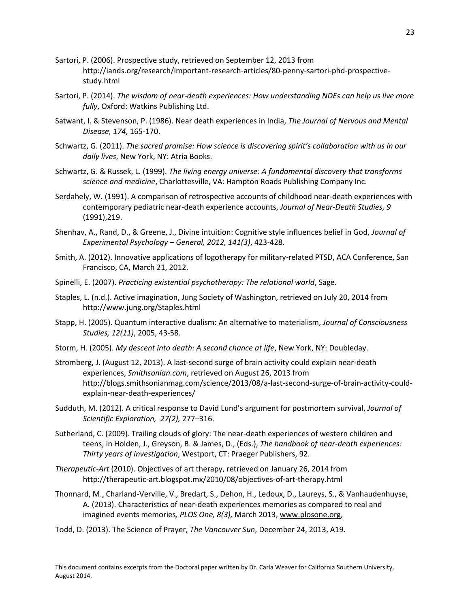- Sartori, P. (2006). Prospective study, retrieved on September 12, 2013 from http://iands.org/research/important-research-articles/80-penny-sartori-phd-prospectivestudy.html
- Sartori, P. (2014). *The wisdom of near-death experiences: How understanding NDEs can help us live more fully*, Oxford: Watkins Publishing Ltd.
- Satwant, I. & Stevenson, P. (1986). Near death experiences in India, *The Journal of Nervous and Mental Disease, 174*, 165-170.
- Schwartz, G. (2011). *The sacred promise: How science is discovering spirit's collaboration with us in our daily lives*, New York, NY: Atria Books.
- Schwartz, G. & Russek, L. (1999). *The living energy universe: A fundamental discovery that transforms science and medicine*, Charlottesville, VA: Hampton Roads Publishing Company Inc.
- Serdahely, W. (1991). A comparison of retrospective accounts of childhood near-death experiences with contemporary pediatric near-death experience accounts, *Journal of Near-Death Studies, 9* (1991),219.
- Shenhav, A., Rand, D., & Greene, J., Divine intuition: Cognitive style influences belief in God, *Journal of Experimental Psychology – General, 2012, 141(3)*, 423-428.
- Smith, A. (2012). Innovative applications of logotherapy for military-related PTSD, ACA Conference, San Francisco, CA, March 21, 2012.
- Spinelli, E. (2007). *Practicing existential psychotherapy: The relational world*, Sage.
- Staples, L. (n.d.). Active imagination, Jung Society of Washington, retrieved on July 20, 2014 from http://www.jung.org/Staples.html
- Stapp, H. (2005). Quantum interactive dualism: An alternative to materialism, *Journal of Consciousness Studies, 12(11)*, 2005, 43-58.
- Storm, H. (2005). *My descent into death: A second chance at life*, New York, NY: Doubleday.
- Stromberg, J. (August 12, 2013). A last-second surge of brain activity could explain near-death experiences, *Smithsonian.com*, retrieved on August 26, 2013 from http://blogs.smithsonianmag.com/science/2013/08/a-last-second-surge-of-brain-activity-couldexplain-near-death-experiences/
- Sudduth, M. (2012). A critical response to David Lund's argument for postmortem survival, *Journal of Scientific Exploration, 27(2),* 277–316.
- Sutherland, C. (2009). Trailing clouds of glory: The near-death experiences of western children and teens, in Holden, J., Greyson, B. & James, D., (Eds.), *The handbook of near-death experiences: Thirty years of investigation*, Westport, CT: Praeger Publishers, 92.
- *Therapeutic-Art* (2010). Objectives of art therapy, retrieved on January 26, 2014 from http://therapeutic-art.blogspot.mx/2010/08/objectives-of-art-therapy.html
- Thonnard, M., Charland-Verville, V., Bredart, S., Dehon, H., Ledoux, D., Laureys, S., & Vanhaudenhuyse, A. (2013). Characteristics of near-death experiences memories as compared to real and imagined events memories*, PLOS One, 8(3),* March 2013[, www.plosone.org,](http://www.plosone.org/)
- Todd, D. (2013). The Science of Prayer, *The Vancouver Sun*, December 24, 2013, A19.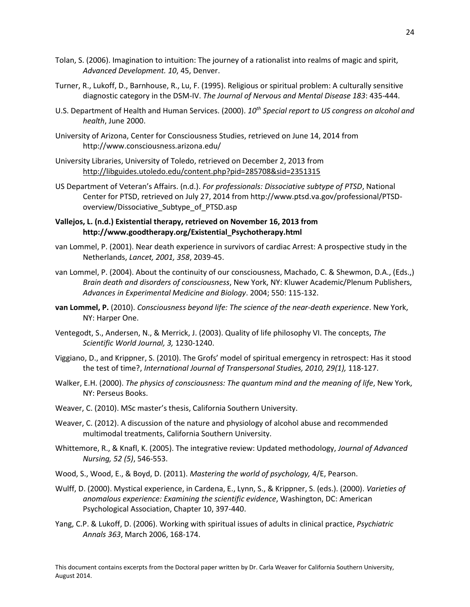- Tolan, S. (2006). Imagination to intuition: The journey of a rationalist into realms of magic and spirit, *Advanced Development. 10*, 45, Denver.
- Turner, R., Lukoff, D., Barnhouse, R., Lu, F. (1995). Religious or spiritual problem: A culturally sensitive diagnostic category in the DSM-IV. *The Journal of Nervous and Mental Disease 183*: 435-444.
- U.S. Department of Health and Human Services. (2000). *10th Special report to US congress on alcohol and health*, June 2000.
- University of Arizona, Center for Consciousness Studies, retrieved on June 14, 2014 from http://www.consciousness.arizona.edu/
- University Libraries, University of Toledo, retrieved on December 2, 2013 from <http://libguides.utoledo.edu/content.php?pid=285708&sid=2351315>
- US Department of Veteran's Affairs. (n.d.). *For professionals: Dissociative subtype of PTSD*, National Center for PTSD, retrieved on July 27, 2014 from http://www.ptsd.va.gov/professional/PTSDoverview/Dissociative\_Subtype\_of\_PTSD.asp
- **Vallejos, L. (n.d.) Existential therapy, retrieved on November 16, 2013 from http://www.goodtherapy.org/Existential\_Psychotherapy.html**
- van Lommel, P. (2001). Near death experience in survivors of cardiac Arrest: A prospective study in the Netherlands, *Lancet, 2001, 358*, 2039-45.
- van Lommel, P. (2004). About the continuity of our consciousness, Machado, C. & Shewmon, D.A., (Eds.,) *Brain death and disorders of consciousness*, New York, NY: Kluwer Academic/Plenum Publishers, *Advances in Experimental Medicine and Biology*. 2004; 550: 115-132.
- **van Lommel, P.** (2010). *[Consciousness beyond life: The science of the near-death experience](http://astore.amazon.com/neardeathcom-20/detail/0061777250)*. New York, NY: Harper One.
- Ventegodt, S., Andersen, N., & Merrick, J. (2003). Quality of life philosophy VI. The concepts, *The Scientific World Journal, 3,* 1230-1240.
- Viggiano, D., and Krippner, S. (2010). The Grofs' model of spiritual emergency in retrospect: Has it stood the test of time?, *International Journal of Transpersonal Studies, 2010, 29(1),* 118-127.
- Walker, E.H. (2000). *The physics of consciousness: The quantum mind and the meaning of life*, New York, NY: Perseus Books.
- Weaver, C. (2010). MSc master's thesis, California Southern University.
- Weaver, C. (2012). A discussion of the nature and physiology of alcohol abuse and recommended multimodal treatments, California Southern University.
- Whittemore, R., & Knafl, K. (2005). The integrative review: Updated methodology, *Journal of Advanced Nursing, 52 (5)*, 546-553.
- Wood, S., Wood, E., & Boyd, D. (2011). *Mastering the world of psychology,* 4/E, Pearson.
- Wulff, D. (2000). Mystical experience, in Cardena, E., Lynn, S., & Krippner, S. (eds.). (2000). *Varieties of anomalous experience: Examining the scientific evidence*, Washington, DC: American Psychological Association, Chapter 10, 397-440.
- Yang, C.P. & Lukoff, D. (2006). Working with spiritual issues of adults in clinical practice, *Psychiatric Annals 363*, March 2006, 168-174.